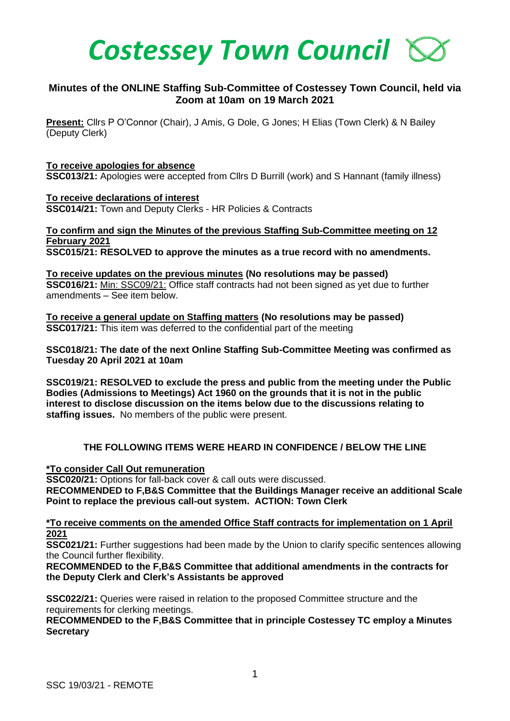

# **Minutes of the ONLINE Staffing Sub-Committee of Costessey Town Council, held via Zoom at 10am on 19 March 2021**

**Present:** Cllrs P O'Connor (Chair), J Amis, G Dole, G Jones; H Elias (Town Clerk) & N Bailey (Deputy Clerk)

### **To receive apologies for absence**

**SSC013/21:** Apologies were accepted from Cllrs D Burrill (work) and S Hannant (family illness)

**To receive declarations of interest SSC014/21:** Town and Deputy Clerks - HR Policies & Contracts

**To confirm and sign the Minutes of the previous Staffing Sub-Committee meeting on 12 February 2021 SSC015/21: RESOLVED to approve the minutes as a true record with no amendments.**

**To receive updates on the previous minutes (No resolutions may be passed) SSC016/21:** Min: SSC09/21: Office staff contracts had not been signed as yet due to further amendments – See item below.

**To receive a general update on Staffing matters (No resolutions may be passed) SSC017/21:** This item was deferred to the confidential part of the meeting

**SSC018/21: The date of the next Online Staffing Sub-Committee Meeting was confirmed as Tuesday 20 April 2021 at 10am** 

**SSC019/21: RESOLVED to exclude the press and public from the meeting under the Public Bodies (Admissions to Meetings) Act 1960 on the grounds that it is not in the public interest to disclose discussion on the items below due to the discussions relating to staffing issues.** No members of the public were present.

# **THE FOLLOWING ITEMS WERE HEARD IN CONFIDENCE / BELOW THE LINE**

**\*To consider Call Out remuneration**

**SSC020/21:** Options for fall-back cover & call outs were discussed. **RECOMMENDED to F,B&S Committee that the Buildings Manager receive an additional Scale Point to replace the previous call-out system. ACTION: Town Clerk**

**\*To receive comments on the amended Office Staff contracts for implementation on 1 April 2021**

**SSC021/21:** Further suggestions had been made by the Union to clarify specific sentences allowing the Council further flexibility.

**RECOMMENDED to the F,B&S Committee that additional amendments in the contracts for the Deputy Clerk and Clerk's Assistants be approved**

**SSC022/21:** Queries were raised in relation to the proposed Committee structure and the requirements for clerking meetings.

**RECOMMENDED to the F,B&S Committee that in principle Costessey TC employ a Minutes Secretary**